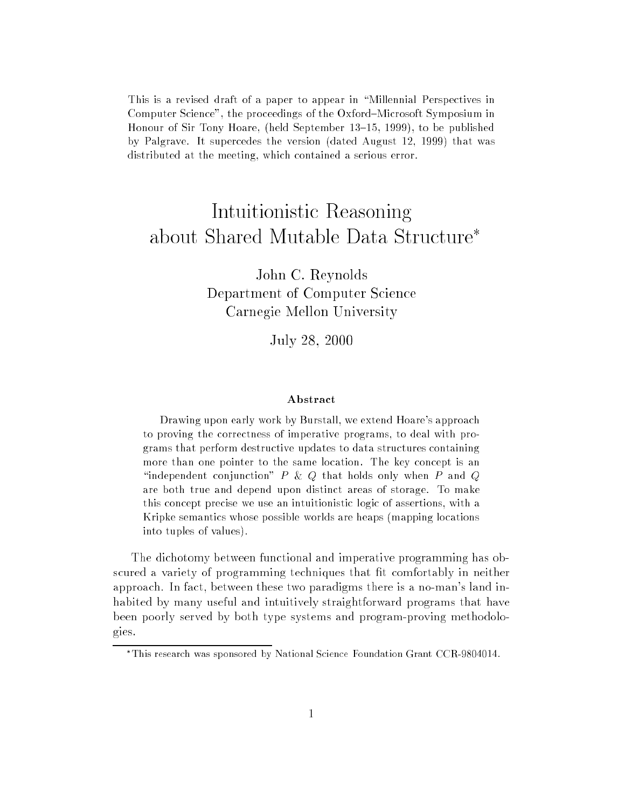This is a revised draft of a paper to appear in "Millennial Perspectives in Computer Science", the proceedings of the Oxford–Microsoft Symposium in Honour of Sir Tony Hoare, (held September 13–15, 1999), to be published by Palgrave. It supercedes the version (dated August 12, 1999) that was distributed at the meeting, which contained a serious error.

# Intuitionistic Reasoning about Shared Mutable Data Structure<sup>\*</sup>

John C. Reynolds Department of Computer Science Carnegie Mellon University

 $\sim$  28, 2000  $\sim$  2000  $\sim$  2000  $\sim$ 

#### Abstract

Drawing upon early work by Burstall, we extend Hoare's approach to proving the correctness of imperative programs, to deal with programs that perform destructive updates to data structures containing more than one pointer to the same location. The key concept is an "independent conjunction" P & Q that holds only when P and Q are both true and depend upon distinct areas of storage. To make this concept precise we use an intuitionistic logic of assertions, with a Kripke semantics whose possible worlds are heaps (mapping locations into tuples of values).

The dichotomy between functional and imperative programming has obscured a variety of programming techniques that fit comfortably in neither approach. In fact, between these two paradigms there is a no-man's land inhabited by many useful and intuitively straightforward programs that have been poorly served by both type systems and program-proving methodologies.

This research was sponsored by National Science Foundation Grant CCR-9804014.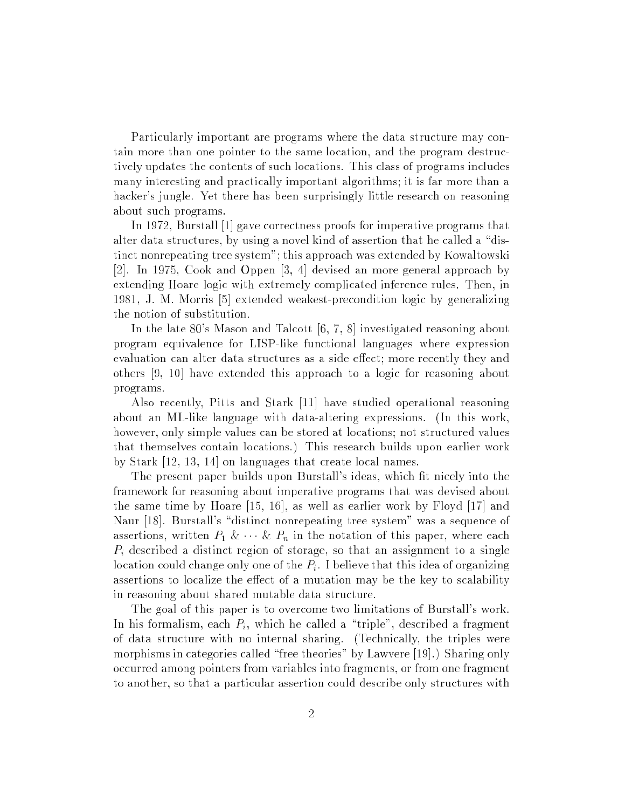Particularly important are programs where the data structure may contain more than one pointer to the same location, and the program destructively updates the contents of such locations. This class of programs includes many interesting and practically important algorithms; it is far more than a hacker's jungle. Yet there has been surprisingly little research on reasoning about such programs.

In 1972, Burstall [1] gave correctness proofs for imperative programs that alter data structures, by using a novel kind of assertion that he called a "distinct nonrepeating tree system"; this approach was extended by Kowaltowski [2]. In 1975, Cook and Oppen [3, 4] devised an more general approach by extending Hoare logic with extremely complicated inference rules. Then, in 1981, J. M. Morris [5] extended weakest-precondition logic by generalizing the notion of substitution.

In the late 80's Mason and Talcott [6, 7, 8] investigated reasoning about program equivalence for LISP-like functional languages where expression evaluation can alter data structures as a side effect; more recently they and others [9, 10] have extended this approach to a logic for reasoning about programs.

Also recently, Pitts and Stark [11] have studied operational reasoning about an ML-like language with data-altering expressions. (In this work, however, only simple values can be stored at locations; not structured values that themselves contain locations.) This research builds upon earlier work by Stark [12, 13, 14] on languages that create local names.

The present paper builds upon Burstall's ideas, which fit nicely into the framework for reasoning about imperative programs that was devised about the same time by Hoare [15, 16], as well as earlier work by Floyd [17] and Naur [18]. Burstall's "distinct nonrepeating tree system" was a sequence of assertions, written  $P_1 \& \cdots \& P_n$  in the notation of this paper, where each  $P_i$  described a distinct region of storage, so that an assignment to a single location could change only one of the  $P_i$ . I believe that this idea of organizing assertions to localize the effect of a mutation may be the key to scalability in reasoning about shared mutable data structure.

The goal of this paper is to overcome two limitations of Burstall's work. In his formalism, each  $P_i$ , which he called a "triple", described a fragment of data structure with no internal sharing. (Technically, the triples were morphisms in categories called "free theories" by Lawvere [19].) Sharing only occurred among pointers from variables into fragments, or from one fragment to another, so that a particular assertion could describe only structures with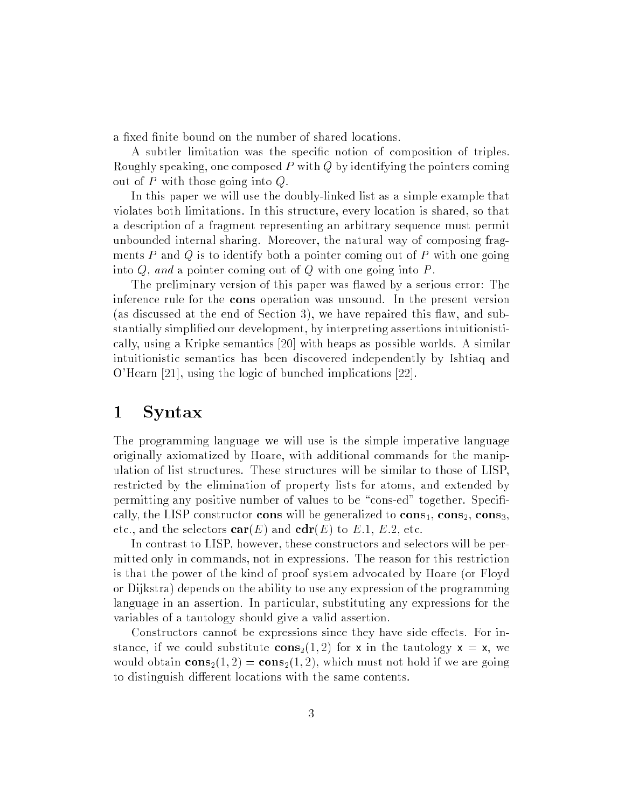a fixed finite bound on the number of shared locations.

A subtler limitation was the specic notion of composition of triples. Roughly speaking, one composed <sup>P</sup> with <sup>Q</sup> by identifying the pointers coming out of  $P$  with those going into  $Q$ .

In this paper we will use the doubly-linked list as a simple example that violates both limitations. In this structure, every location is shared, so that a description of a fragment representing an arbitrary sequence must permit unbounded internal sharing. Moreover, the natural way of composing fragments  $P$  and  $Q$  is to identify both a pointer coming out of  $P$  with one going into  $Q$ , and a pointer coming out of  $Q$  with one going into  $P$ .

The preliminary version of this paper was flawed by a serious error: The inference rule for the cons operation was unsound. In the present version (as discussed at the end of Section 3), we have repaired this flaw, and substantially simplied our development, by interpreting assertions intuitionistically, using a Kripke semantics [20] with heaps as possible worlds. A similar intuitionistic semantics has been discovered independently by Ishtiaq and O'Hearn [21], using the logic of bunched implications [22].

#### 1 Syntax

The programming language we will use is the simple imperative language originally axiomatized by Hoare, with additional commands for the manipulation of list structures. These structures will be similar to those of LISP, restricted by the elimination of property lists for atoms, and extended by permitting any positive number of values to be "cons-ed" together. Specifically, the LISP constructor cons will be generalized to  $cons_1, cons_2, cons_3$ . etc., and the selectors  $\mathbf{car}(E)$  and  $\mathbf{cdr}(E)$  to E.1, E.2, etc.

In contrast to LISP, however, these constructors and selectors will be permitted only in commands, not in expressions. The reason for this restriction is that the power of the kind of proof system advocated by Hoare (or Floyd or Dijkstra) depends on the ability to use any expression of the programming language in an assertion. In particular, substituting any expressions for the variables of a tautology should give a valid assertion.

Constructors cannot be expressions since they have side effects. For instance, if we could substitute  $cons_2(1,2)$  for x in the tautology  $x = x$ , we would obtain  $cons_2(1, 2) = cons_2(1, 2)$ , which must not hold if we are going to distinguish different locations with the same contents.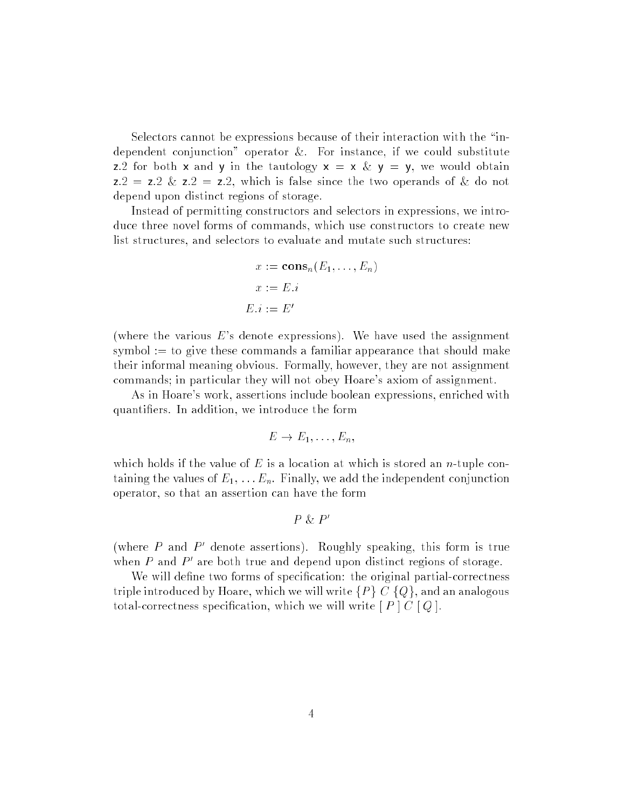Selectors cannot be expressions because of their interaction with the \independent conjunction" operator &. For instance, if we could substitute z.2 for both x and y in the tautology  $x = x \& y = y$ , we would obtain  $z:2 = z:2 \& z:2 = z:2$ , which is false since the two operands of & do not depend upon distinct regions of storage.

Instead of permitting constructors and selectors in expressions, we introduce three novel forms of commands, which use constructors to create new list structures, and selectors to evaluate and mutate such structures:

$$
x := \mathbf{cons}_n(E_1, \dots, E_n)
$$

$$
x := E.i
$$

$$
E.i := E'
$$

(where the various  $E$ 's denote expressions). We have used the assignment symbol  $:=$  to give these commands a familiar appearance that should make their informal meaning obvious. Formally, however, they are not assignment commands; in particular they will not obey Hoare's axiom of assignment.

As in Hoare's work, assertions include boolean expressions, enriched with quantiers. In addition, we introduce the form

$$
E \to E_1, \ldots, E_n,
$$

which holds if the value of  $E$  is a location at which is stored an *n*-tuple containing the values of  $E_1, \ldots, E_n$ . Finally, we add the independent conjunction operator, so that an assertion can have the form

$$
P \& P'
$$

(where  $P$  and  $P$  denote assertions). Roughly speaking, this form is true when  $P$  and  $P$  are both true and depend upon distinct regions of storage.

We will define two forms of specification: the original partial-correctness triple introduced by Hoare, which we will write  $\{P\}$  C  $\{Q\}$ , and an analogous total-correctness specification, which we will write  $[P] C [Q]$ .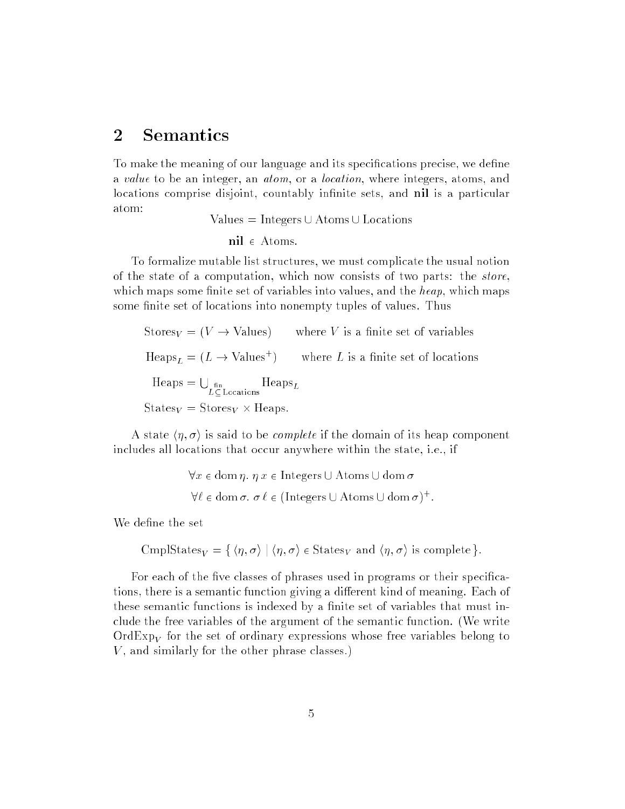#### 2 Semantics

To make the meaning of our language and its specifications precise, we define a value to be an integer, an atom, or a location, where integers, atoms, and locations comprise disjoint, countably infinite sets, and nil is a particular atom:

Values  $=$  Integers  $\cup$  Atoms  $\cup$  Locations

$$
nil \in Atoms.
$$

To formalize mutable list structures, we must complicate the usual notion of the state of a computation, which now consists of two parts: the store, which maps some finite set of variables into values, and the  $heap$ , which maps some finite set of locations into nonempty tuples of values. Thus

Stores<sub>V</sub> =  $(V \rightarrow$  Values) where V is a finite set of variables  $\text{Heaps}_L = (L \rightarrow \text{values'})$  where L is a finite set of locations  $Heaps = \Box$  $L \subset$  Locations  $S$  . Stores  $V$  -  $\lambda$  and  $\lambda$  -  $\lambda$ 

A state  $\langle \eta, \sigma \rangle$  is said to be *complete* if the domain of its heap component includes all locations that occur anywhere within the state, i.e., if

```
\forall x \in \text{dom } \eta \text{ and } x \in \text{Integers } \cup \text{Atoms } \cup \text{ dom } \sigma\nabla \ell \in \text{dom}(\sigma, \sigma \ell \in \text{untegers} \cup \text{Atoms} \cup \text{dom}(\sigma)^+.
```
We define the set

CmplStates<sub>V</sub> = { $\langle \eta, \sigma \rangle$  |  $\langle \eta, \sigma \rangle$   $\in$  States<sub>V</sub> and  $\langle \eta, \sigma \rangle$  is complete }.

For each of the five classes of phrases used in programs or their specifications, there is a semantic function giving a different kind of meaning. Each of these semantic functions is indexed by a finite set of variables that must include the free variables of the argument of the semantic function. (We write  $\mathrm{Ord}\mathrm{Exp}_V$  for the set of ordinary expressions whose free variables belong to V, and similarly for the other phrase classes.)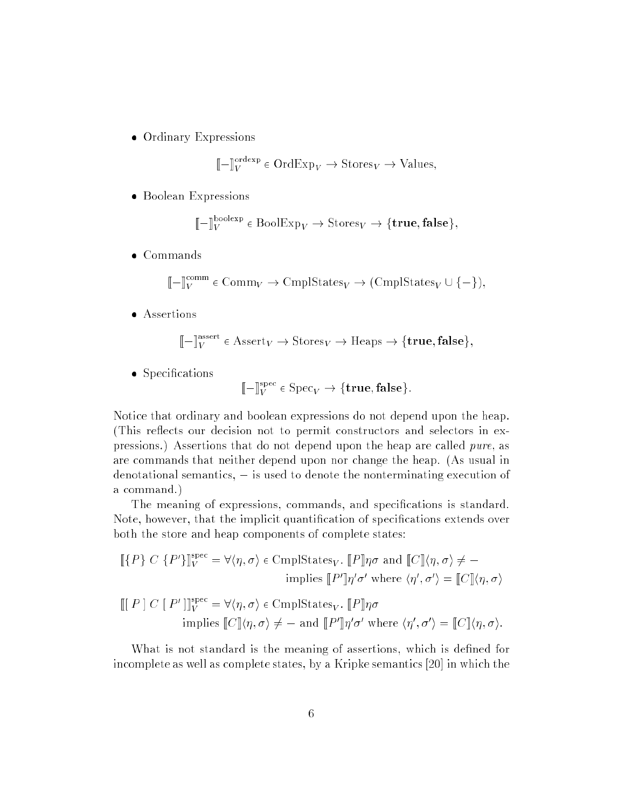Ordinary Expressions

$$
\llbracket - \rrbracket^{\text{order}}_V \in \text{OrdExp}_V \to \text{Stores}_V \to \text{Values},
$$

 $B = 200$ 

$$
\llbracket - \rrbracket^{\text{boolean}}_V \in \text{BoolExp}_V \to \text{Stores}_V \to \{\text{true}, \text{false}\},\
$$

$$
\llbracket - \rrbracket^{\text{comm}}_V \in \text{Comm}_V \to \text{CmplStates}_V \to (\text{CmplStates}_V \cup \{-\}),
$$

Assertions

$$
[\![ - ]\!]^{\text{assert}}_V \in \text{Assert}_V \to \text{Stores}_V \to \text{Heaps} \to \{\text{true},\text{false}\},
$$

species to the second contract of the second contract of the second contract of the second contract of the second contract of the second contract of the second contract of the second contract of the second contract of the

$$
[\![ - ]\!]^{\text{spec}}_V \in \text{Spec}_V \to \{\text{true},\text{false}\}.
$$

Notice that ordinary and boolean expressions do not depend upon the heap. (This reflects our decision not to permit constructors and selectors in expressions.) Assertions that do not depend upon the heap are called pure, as are commands that neither depend upon nor change the heap. (As usual in denotational semantics,  $-$  is used to denote the nonterminating execution of a command.)

The meaning of expressions, commands, and specications is standard. Note, however, that the implicit quantification of specifications extends over both the store and heap components of complete states:

$$
\llbracket \{P\} \ C \ \{P'\}\rrbracket^{\text{spec}}_{V} = \forall \langle \eta, \sigma \rangle \in \text{Cmp}(\text{States}_{V}.\ \llbracket P \rrbracket \eta \sigma \text{ and } \llbracket C \rrbracket \langle \eta, \sigma \rangle \neq -
$$
\n
$$
\text{implies } \llbracket P' \rrbracket \eta' \sigma' \text{ where } \langle \eta', \sigma' \rangle = \llbracket C \rrbracket \langle \eta, \sigma \rangle
$$

$$
\llbracket [P \rbrack C \rbrack P' \rrbracket^{\text{spec}}_{V} = \forall \langle \eta, \sigma \rangle \in \text{Cmp} \text{IState}_{V}. \llbracket P \rrbracket \eta \sigma
$$
  
implies 
$$
\llbracket C \rrbracket \langle \eta, \sigma \rangle \neq - \text{ and } \llbracket P' \rrbracket \eta' \sigma' \text{ where } \langle \eta', \sigma' \rangle = \llbracket C \rrbracket \langle \eta, \sigma \rangle.
$$

What is not standard is the meaning of assertions, which is defined for incomplete as well as complete states, by a Kripke semantics [20] in which the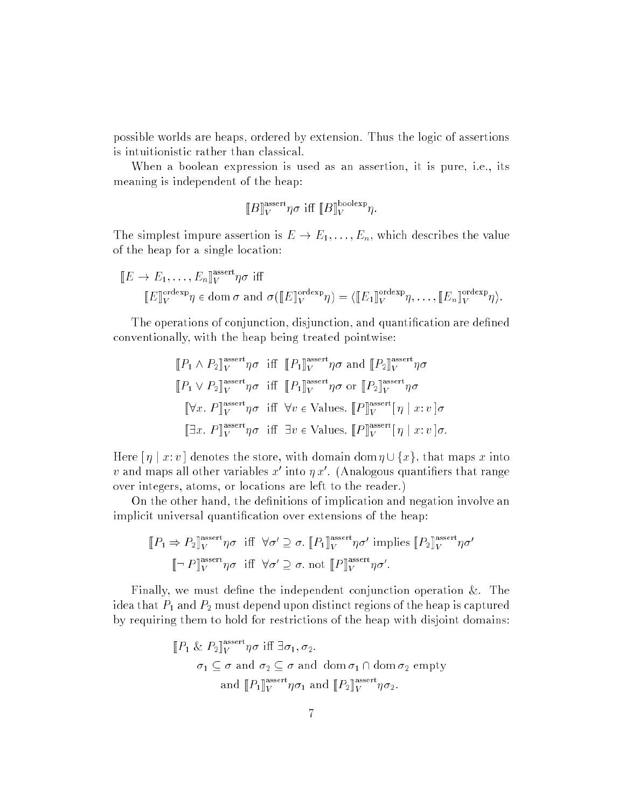possible worlds are heaps, ordered by extension. Thus the logic of assertions is intuitionistic rather than classical.

When a boolean expression is used as an assertion, it is pure, i.e., its meaning is independent of the heap:

$$
\llbracket B \rrbracket^{\text{assert}} \eta \sigma \text{ iff } \llbracket B \rrbracket^{\text{boolean}} V.
$$

The simplest impure assertion is  $E \to E_1, \ldots, E_n$ , which describes the value of the heap for a single location:

$$
[E \to E_1, \dots, E_n]_V^{\text{assert}} \eta \sigma \text{ iff}
$$
  

$$
[E]_V^{\text{orderp}} \eta \in \text{dom } \sigma \text{ and } \sigma([E]_V^{\text{orderp}} \eta) = \langle [E_1]_V^{\text{orderp}} \eta, \dots, [E_n]_V^{\text{orderp}} \eta \rangle.
$$

The operations of conjunction, disjunction, and quantification are defined conventionally, with the heap being treated pointwise:

$$
[\![P_1 \wedge P_2]\!]_V^{\text{assert}} \eta \sigma \text{ iff } [\![P_1]\!]_V^{\text{assert}} \eta \sigma \text{ and } [\![P_2]\!]_V^{\text{assert}} \eta \sigma
$$
  

$$
[\![P_1 \vee P_2]\!]_V^{\text{assert}} \eta \sigma \text{ iff } [\![P_1]\!]_V^{\text{assert}} \eta \sigma \text{ or } [\![P_2]\!]_V^{\text{assert}} \eta \sigma
$$
  

$$
[\![\forall x. P]\!]_V^{\text{assert}} \eta \sigma \text{ iff } \forall v \in \text{Values. } [\![P]\!]_V^{\text{assert}} [\![\eta \mid x:v]\!] \sigma
$$
  

$$
[\![\exists x. P]\!]_V^{\text{assert}} \eta \sigma \text{ iff } \exists v \in \text{Values. } [\![P]\!]_V^{\text{assert}} [\![\eta \mid x:v]\!] \sigma.
$$

Here  $\lceil \eta \rceil x : v \rceil$  denotes the store, with domain dom  $\eta \cup \{x\}$ , that maps x into v and maps all other variables  $x$  -filto  $\eta\,x$  . (Analogous quantifiers that range over integers, atoms, or locations are left to the reader.)

On the other hand, the definitions of implication and negation involve an implicit universal quantification over extensions of the heap:

$$
\llbracket P_1 \Rightarrow P_2 \rrbracket^{\text{assert}}_{V} \eta \sigma \text{ iff } \forall \sigma' \supseteq \sigma. \llbracket P_1 \rrbracket^{\text{assert}}_{V} \eta \sigma' \text{ implies } \llbracket P_2 \rrbracket^{\text{assert}}_{V} \eta \sigma' \llbracket \neg P \rrbracket^{\text{assert}}_{V} \eta \sigma \text{ iff } \forall \sigma' \supseteq \sigma. \text{ not } \llbracket P \rrbracket^{\text{assert}}_{V} \eta \sigma'.
$$

Finally, we must define the independent conjunction operation  $\&$ . The idea that  $P_1$  and  $P_2$  must depend upon distinct regions of the heap is captured by requiring them to hold for restrictions of the heap with disjoint domains:

$$
\begin{aligned} [P_1 \& P_2]_V^{\text{assert}} \eta \sigma \text{ iff } \exists \sigma_1, \sigma_2. \\ \sigma_1 \subseteq \sigma \text{ and } \sigma_2 \subseteq \sigma \text{ and } \text{ dom } \sigma_1 \cap \text{ dom } \sigma_2 \text{ empty} \\ \text{and } [P_1]_V^{\text{assert}} \eta \sigma_1 \text{ and } [P_2]_V^{\text{assert}} \eta \sigma_2. \end{aligned}
$$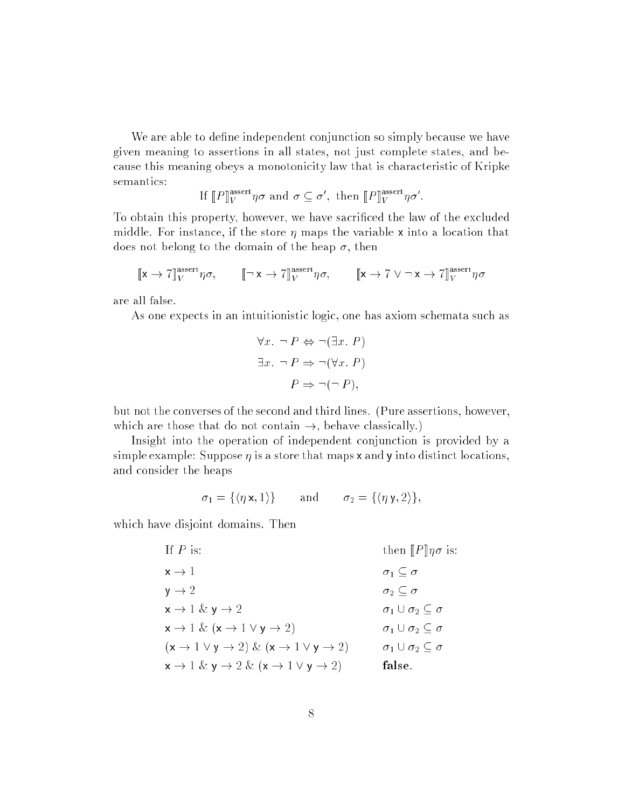We are able to define independent conjunction so simply because we have given meaning to assertions in all states, not just complete states, and because this meaning obeys a monotonicity law that is characteristic of Kripke semantics:

If 
$$
[P]_V^{\text{assert}} \eta \sigma
$$
 and  $\sigma \subseteq \sigma'$ , then  $[P]_V^{\text{assert}} \eta \sigma'$ .

To obtain this property, however, we have sacriced the law of the excluded middle. For instance, if the store  $\eta$  maps the variable x into a location that does not belong to the domain of the heap  $\sigma$ , then

$$
[\![\mathbf{x}\to \mathbf{7}]\!]^\text{assert}_V\eta\sigma, \qquad [\![\neg\,\mathbf{x}\to \mathbf{7}]\!]^\text{assert}_V\eta\sigma, \qquad [\![\mathbf{x}\to \mathbf{7}\vee \neg\,\mathbf{x}\to \mathbf{7}]\!]^\text{assert}_V\eta\sigma
$$

are all false.

As one expects in an intuitionistic logic, one has axiom schemata such as

$$
\forall x. \neg P \Leftrightarrow \neg (\exists x. P)
$$

$$
\exists x. \neg P \Rightarrow \neg (\forall x. P)
$$

$$
P \Rightarrow \neg (\neg P),
$$

but not the converses of the second and third lines. (Pure assertions, however, which are those that do not contain  $\rightarrow$ , behave classically.)

Insight into the operation of independent conjunction is provided by a simple example: Suppose  $\eta$  is a store that maps x and y into distinct locations. and consider the heaps

$$
\sigma_1 = \{ \langle \eta \mathbf{x}, 1 \rangle \} \quad \text{and} \quad \sigma_2 = \{ \langle \eta \mathbf{y}, 2 \rangle \},
$$

which have disjoint domains. Then

If P is: then  $[|P]$   $\eta \sigma$  is:  $x \to 1$   $\sigma_1 \subseteq \sigma$  $y \to 2$   $\sigma_2 \subseteq \sigma$  $x \to 1 \& y \to 2$   $\sigma_1 \cup \sigma_2 \subseteq \sigma$  $x \to 1 \& (x \to 1 \lor y \to 2)$   $\sigma_1 \cup \sigma_2 \subseteq \sigma$  $(\mathsf{x} \to 1 \lor \mathsf{y} \to 2) \& (\mathsf{x} \to 1 \lor \mathsf{y} \to 2) \qquad \sigma_1 \cup \sigma_2 \subseteq \sigma$  $x \to 1 \& y \to 2 \& (x \to 1 \vee y \to 2)$  false.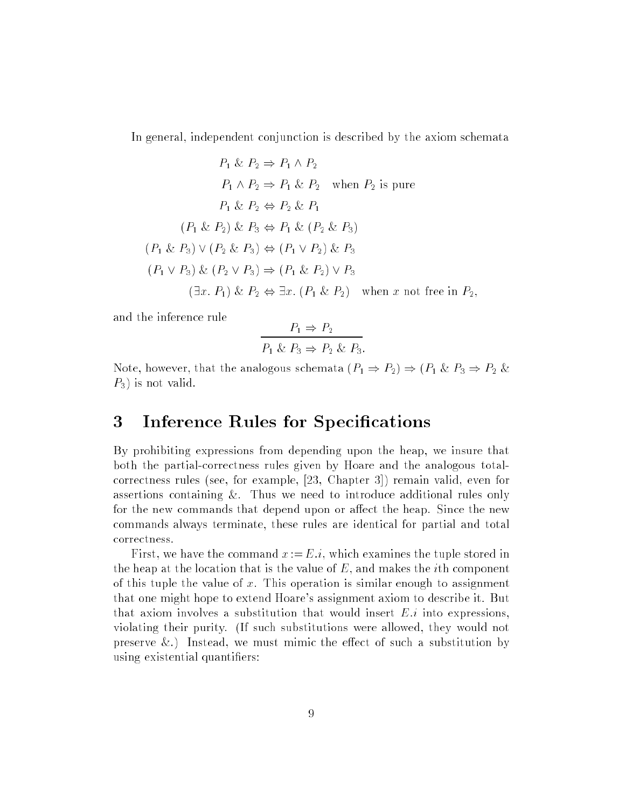In general, independent conjunction is described by the axiom schemata

$$
P_1 \& P_2 \Rightarrow P_1 \land P_2
$$
\n
$$
P_1 \land P_2 \Rightarrow P_1 \& P_2 \text{ when } P_2 \text{ is pure}
$$
\n
$$
P_1 \& P_2 \Leftrightarrow P_2 \& P_1
$$
\n
$$
(P_1 \& P_2) \& P_3 \Leftrightarrow P_1 \& (P_2 \& P_3)
$$
\n
$$
(P_1 \& P_3) \lor (P_2 \& P_3) \Leftrightarrow (P_1 \lor P_2) \& P_3
$$
\n
$$
(P_1 \lor P_3) \& (P_2 \lor P_3) \Rightarrow (P_1 \& P_2) \lor P_3
$$
\n
$$
(\exists x. P_1) \& P_2 \Leftrightarrow \exists x. (P_1 \& P_2) \text{ when } x \text{ not free in } P_2,
$$

and the inference rule

$$
\frac{P_1 \Rightarrow P_2}{P_1 \& P_3 \Rightarrow P_2 \& P_3}.
$$

Note, however, that the analogous schemata  $(P_1 \Rightarrow P_2) \Rightarrow (P_1 \& P_3 \Rightarrow P_2 \& P_1)$  $P_3$ ) is not valid.

#### 3 Inference Rules for Specifications

By prohibiting expressions from depending upon the heap, we insure that both the partial-correctness rules given by Hoare and the analogous totalcorrectness rules (see, for example, [23, Chapter 3]) remain valid, even for assertions containing &. Thus we need to introduce additional rules only for the new commands that depend upon or affect the heap. Since the new commands always terminate, these rules are identical for partial and total correctness.

First, we have the command  $x := E.i$ , which examines the tuple stored in the heap at the location that is the value of  $E$ , and makes the *i*th component of this tuple the value of  $x$ . This operation is similar enough to assignment that one might hope to extend Hoare's assignment axiom to describe it. But that axiom involves a substitution that would insert  $E.i$  into expressions. violating their purity. (If such substitutions were allowed, they would not preserve  $\&$ .) Instead, we must mimic the effect of such a substitution by using existential quantifiers: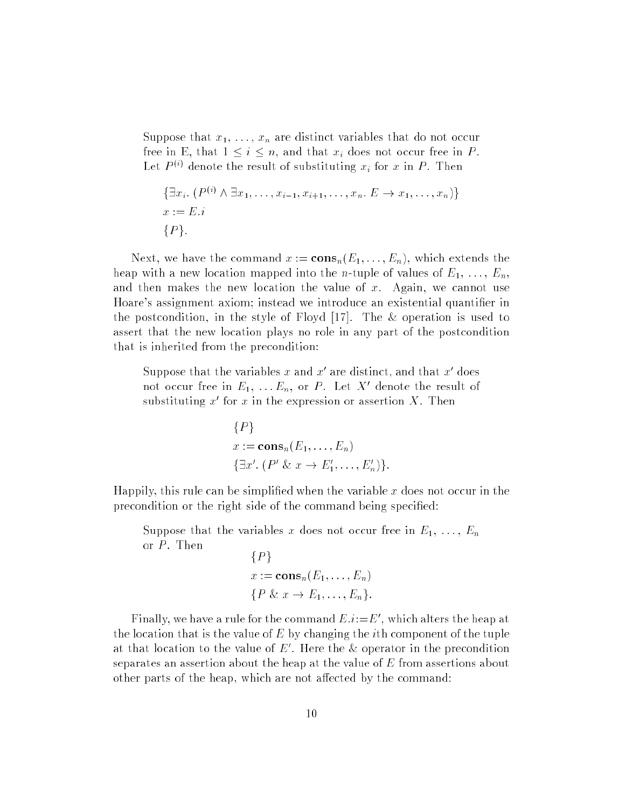Suppose that  $x_1, \ldots, x_n$  are distinct variables that do not occur free in E, that  $1 \leq i \leq n$ , and that  $x_i$  does not occur free in P. Let  $P \vee$  denote the result of substituting  $x_i$  for x in  $P$ . Then

$$
\{\exists x_i. (P^{(i)} \land \exists x_1, \dots, x_{i-1}, x_{i+1}, \dots, x_n. E \to x_1, \dots, x_n)\}
$$
  

$$
x := E.i
$$
  

$$
\{P\}.
$$

Next, we have the command  $x := \mathbf{cons}_n(E_1, \ldots, E_n)$ , which extends the heap with a new location mapped into the *n*-tuple of values of  $E_1, \ldots, E_n$ , and then makes the new location the value of  $x$ . Again, we cannot use Hoare's assignment axiom; instead we introduce an existential quantifier in the postcondition, in the style of Floyd [17]. The & operation is used to assert that the new location plays no role in any part of the postcondition that is inherited from the precondition:

Suppose that the variables x and x are distinct, and that x does not occur free in  $E_1, \ldots E_n$ , or P . Let  $A$  denote the result of substituting  $x$  for  $x$  in the expression or assertion  $A$ . Then

$$
{P}
$$
  

$$
x := \mathbf{cons}_n(E_1, \dots, E_n)
$$
  

$$
{\exists x'. (P' \& x \rightarrow E'_1, \dots, E'_n)}.
$$

Happily, this rule can be simplified when the variable  $x$  does not occur in the precondition or the right side of the command being specified:

Suppose that the variables x does not occur free in  $E_1, \ldots, E_n$ or  $P$ . Then

$$
\{P\}
$$
  

$$
x := \mathbf{cons}_n(E_1, \dots, E_n)
$$
  

$$
\{P \& x \rightarrow E_1, \dots, E_n\}.
$$

Finally, we have a rule for the command  $E.i:=E_0$  , which alters the heap at the location that is the value of  $E$  by changing the *i*th component of the tuple at that location to the value of  $E$  . Here the  $\alpha$  operator in the precondition separates an assertion about the heap at the value of <sup>E</sup> from assertions about other parts of the heap, which are not affected by the command: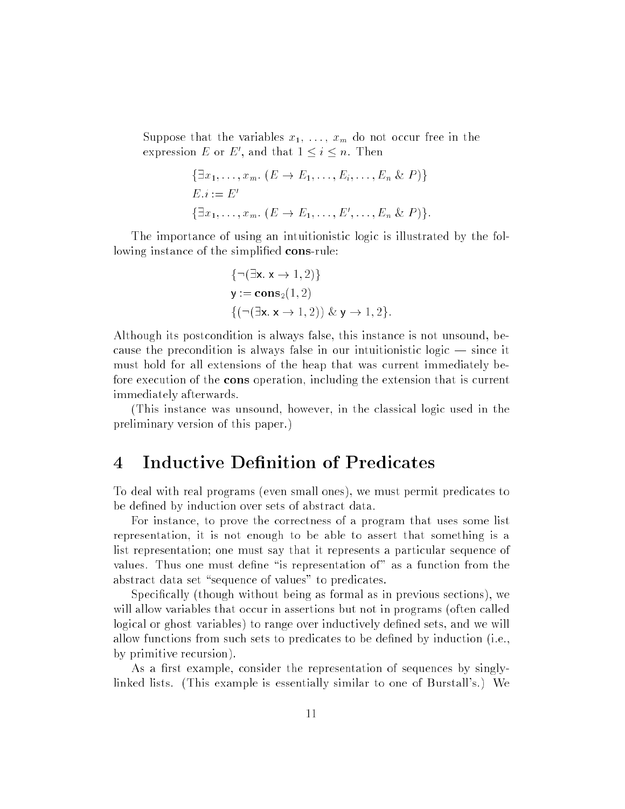Suppose that the variables  $x_1, \ldots, x_m$  do not occur free in the expression  $E$  or  $E$ , and that  $1 \leq i \leq n$ . Then

$$
\{\exists x_1, \ldots, x_m. (E \to E_1, \ldots, E_i, \ldots, E_n \& P)\}
$$
  

$$
E.i := E'
$$
  

$$
\{\exists x_1, \ldots, x_m. (E \to E_1, \ldots, E', \ldots, E_n \& P)\}.
$$

The importance of using an intuitionistic logic is illustrated by the following instance of the simplified cons-rule:

$$
\{\neg(\exists x. x \to 1, 2)\}
$$
  

$$
y := \mathbf{cons}_2(1, 2)
$$
  

$$
\{(\neg(\exists x. x \to 1, 2)) \& y \to 1, 2\}.
$$

Although its postcondition is always false, this instance is not unsound, because the precondition is always false in our intuitionistic logic  $-$  since it must hold for all extensions of the heap that was current immediately before execution of the cons operation, including the extension that is current immediately afterwards.

(This instance was unsound, however, in the classical logic used in the preliminary version of this paper.)

### 4 Inductive Denition of Predicates

To deal with real programs (even small ones), we must permit predicates to be defined by induction over sets of abstract data.

For instance, to prove the correctness of a program that uses some list representation, it is not enough to be able to assert that something is a list representation; one must say that it represents a particular sequence of values. Thus one must define "is representation of" as a function from the abstract data set "sequence of values" to predicates.

Specically (though without being as formal as in previous sections), we will allow variables that occur in assertions but not in programs (often called logical or ghost variables) to range over inductively defined sets, and we will allow functions from such sets to predicates to be dened by induction (i.e., by primitive recursion).

As a first example, consider the representation of sequences by singlylinked lists. (This example is essentially similar to one of Burstall's.) We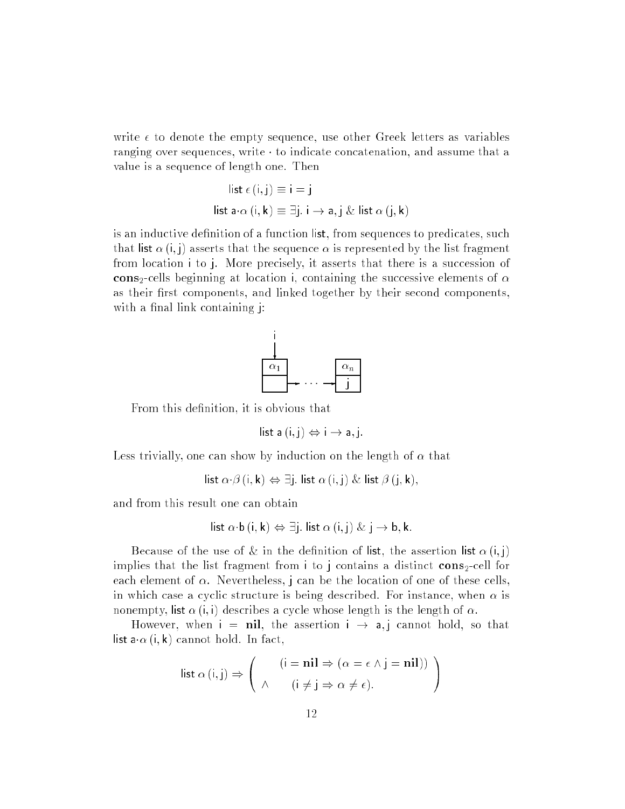write  $\epsilon$  to denote the empty sequence, use other Greek letters as variables ranging over sequences, write  $\cdot$  to indicate concatenation, and assume that a value is a sequence of length one. Then

list 
$$
\epsilon(i, j) \equiv i = j
$$
  
list  $\mathbf{a} \cdot \alpha(i, k) \equiv \exists j. i \rightarrow \mathbf{a}, j \& \text{list } \alpha(j, k)$ 

is an inductive definition of a function list, from sequences to predicates, such that list  $\alpha(i,j)$  asserts that the sequence  $\alpha$  is represented by the list fragment from location <sup>i</sup> to j. More precisely, it asserts that there is a succession of cons<sub>2</sub>-cells beginning at location i, containing the successive elements of  $\alpha$ as their first components, and linked together by their second components, with a final link containing  $\mu$ :



From this definition, it is obvious that

list a  $(i, j) \Leftrightarrow i \rightarrow a, j$ .

Less trivially, one can show by induction on the length of  $\alpha$  that

list  $\alpha \cdot \beta$  (i, k)  $\Leftrightarrow \exists j$ . list  $\alpha$  (i, j) & list  $\beta$  (j, k),

and from this result one can obtain

list 
$$
\alpha \cdot b(i, k) \Leftrightarrow \exists j
$$
. list  $\alpha(i, j) \& j \rightarrow b, k$ .

Because of the use of  $\&$  in the definition of list, the assertion list  $\alpha(i,j)$ implies that the list fragment from i to j contains a distinct  $cons_2\text{-cell}$  for each element of  $\alpha$ . Nevertheless, j can be the location of one of these cells, in which case a cyclic structure is being described. For instance, when  $\alpha$  is nonempty, list  $\alpha$  (i, i) describes a cycle whose length is the length of  $\alpha$ .

However, when  $i = nil$ , the assertion  $i \rightarrow a$ , cannot hold, so that list  $\mathbf{a} \cdot \alpha$  (i, k) cannot hold. In fact,

$$
list \alpha (i,j) \Rightarrow \left( \begin{array}{cc} (i = nil \Rightarrow (\alpha = \epsilon \wedge j = nil)) \\ \wedge & (i \neq j \Rightarrow \alpha \neq \epsilon). \end{array} \right)
$$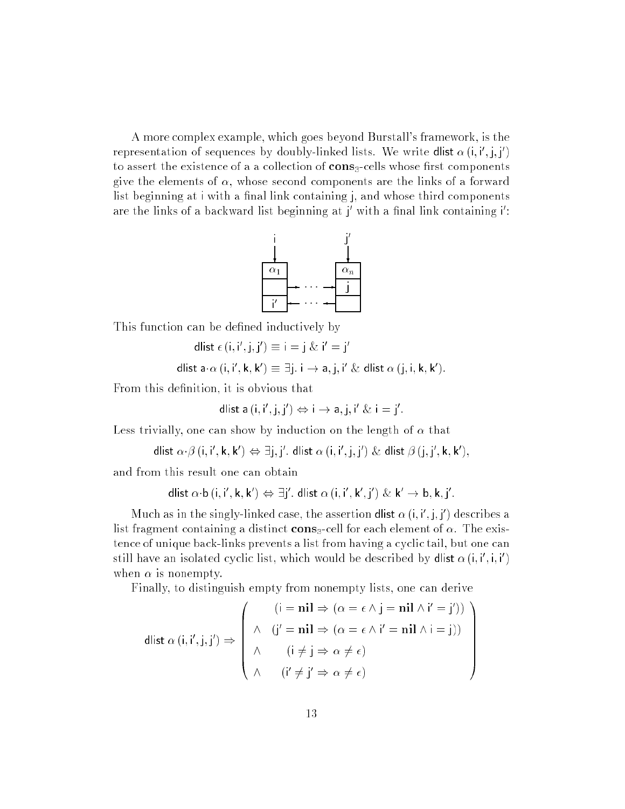A more complex example, which goes beyond Burstall's framework, is the representation of sequences by doubly-linked lists. We write **dilst**  $\alpha$  (i, i , j, j ) to assert the existence of a a collection of  $\mathbf{cons}_3$ -cells whose first components give the elements of  $\alpha$ , whose second components are the links of a forward list beginning at  $i$  with a final link containing  $j$ , and whose third components are the links of a backward list beginning at  $\parallel$  with a final link containing  $\parallel$  :



This function can be defined inductively by

$$
dlist \in (i, i', j, j') \equiv i = j \& i' = j
$$

dlist a $\cdot\alpha$  (i, i , k, k )  $\equiv$  ji, i  $\rightarrow$  a, j, i  $\propto$  dlist  $\alpha$  (j, i, k, k ).

From this definition, it is obvious that

dlist a (i, i', j, j') 
$$
\Leftrightarrow
$$
 i  $\rightarrow$  a, j, i' & i = j'

Less trivially, one can show by induction on the length of  $\alpha$  that

$$
\mathsf{dlist}\ \alpha\cdotp\beta\ (\mathsf{i},\mathsf{i}',\mathsf{k},\mathsf{k}') \Leftrightarrow \exists \mathsf{j},\mathsf{j}'.\ \mathsf{dlist}\ \alpha\ (\mathsf{i},\mathsf{i}',\mathsf{j},\mathsf{j}')\ \&\ \mathsf{dlist}\ \beta\ (\mathsf{j},\mathsf{j}',\mathsf{k},\mathsf{k}'),
$$

and from this result one can obtain

$$
\mathsf{dlist}\ \alpha\!\cdot\!\mathsf{b}\,(i,i',\mathsf{k},\mathsf{k}')\Leftrightarrow \exists j'.\ \mathsf{dlist}\ \alpha\,(i,i',\mathsf{k}',j')\ \&\ \mathsf{k}'\to \mathsf{b},\mathsf{k},j'.
$$

Much as in the singly-linked case, the assertion **diist**  $\alpha$  (i, i , j, j ) describes a list fragment containing a distinct cons<sub>3</sub>-cell for each element of  $\alpha$ . The existence of unique back-links prevents a list from having a cyclic tail, but one can still have an isolated cyclic list, which would be described by **dilst**  $\alpha$  (i, i , i, i ) when  $\alpha$  is nonempty.

> $1.11$ **Contract Contract Contract Contract Contract Contract Contract Contract Contract Contract Contract Contract Contract Contract Contract Contract Contract Contract Contract Contract Contract Contract Contract Contract Contract Contract Contract Contract Contract Contract Contract Contract Contract Contract Contract A**

Finally, to distinguish empty from nonempty lists, one can derive

$$
\text{dlist } \alpha \left( \mathbf{i}, \mathbf{i}', \mathbf{j}, \mathbf{j}' \right) \Rightarrow \begin{pmatrix} \left( \mathbf{i} = \mathbf{n} \mathbf{i} \mathbf{l} \Rightarrow \left( \alpha = \epsilon \land \mathbf{j} = \mathbf{n} \mathbf{i} \mathbf{l} \land \mathbf{i}' = \mathbf{j}' \right) \right) \\ \wedge & \left( \mathbf{j}' = \mathbf{n} \mathbf{i} \mathbf{l} \Rightarrow \left( \alpha = \epsilon \land \mathbf{i}' = \mathbf{n} \mathbf{i} \mathbf{l} \land \mathbf{i} = \mathbf{j} \right) \right) \\ \wedge & \left( \mathbf{i} \neq \mathbf{j} \Rightarrow \alpha \neq \epsilon \right) \\ \wedge & \left( \mathbf{i}' \neq \mathbf{j}' \Rightarrow \alpha \neq \epsilon \right) \end{pmatrix}
$$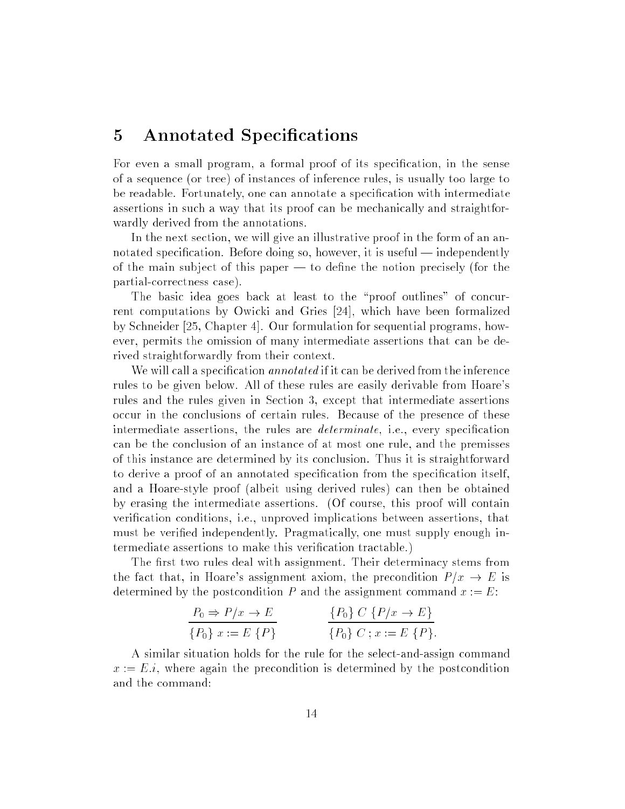#### 5 Annotated Specifications

For even a small program, a formal proof of its specication, in the sense of a sequence (or tree) of instances of inference rules, is usually too large to be readable. Fortunately, one can annotate a specication with intermediate assertions in such a way that its proof can be mechanically and straightforwardly derived from the annotations.

In the next section, we will give an illustrative proof in the form of an annotated specification. Before doing so, however, it is useful  $-$  independently of the main subject of this paper  $-$  to define the notion precisely (for the partial-correctness case).

The basic idea goes back at least to the "proof outlines" of concurrent computations by Owicki and Gries [24], which have been formalized by Schneider [25, Chapter 4]. Our formulation for sequential programs, however, permits the omission of many intermediate assertions that can be derived straightforwardly from their context.

We will call a specification *annotated* if it can be derived from the inference rules to be given below. All of these rules are easily derivable from Hoare's rules and the rules given in Section 3, except that intermediate assertions occur in the conclusions of certain rules. Because of the presence of these intermediate assertions, the rules are *determinate*, i.e., every specification can be the conclusion of an instance of at most one rule, and the premisses of this instance are determined by its conclusion. Thus it is straightforward to derive a proof of an annotated specication from the specication itself, and a Hoare-style proof (albeit using derived rules) can then be obtained by erasing the intermediate assertions. (Of course, this proof will contain verification conditions, i.e., unproved implications between assertions, that must be verified independently. Pragmatically, one must supply enough intermediate assertions to make this verication tractable.)

The first two rules deal with assignment. Their determinacy stems from the fact that, in Hoare's assignment axiom, the precondition  $P/x \to E$  is determined by the postcondition P and the assignment command  $x := E$ :

$$
\frac{P_0 \Rightarrow P/x \to E}{\{P_0\} \ x := E \{P\}} \qquad \frac{\{P_0\} \ C \{P/x \to E\}}{\{P_0\} \ C \ ; x := E \{P\}}.
$$

A similar situation holds for the rule for the select-and-assign command  $x := E.i$ , where again the precondition is determined by the postcondition and the command: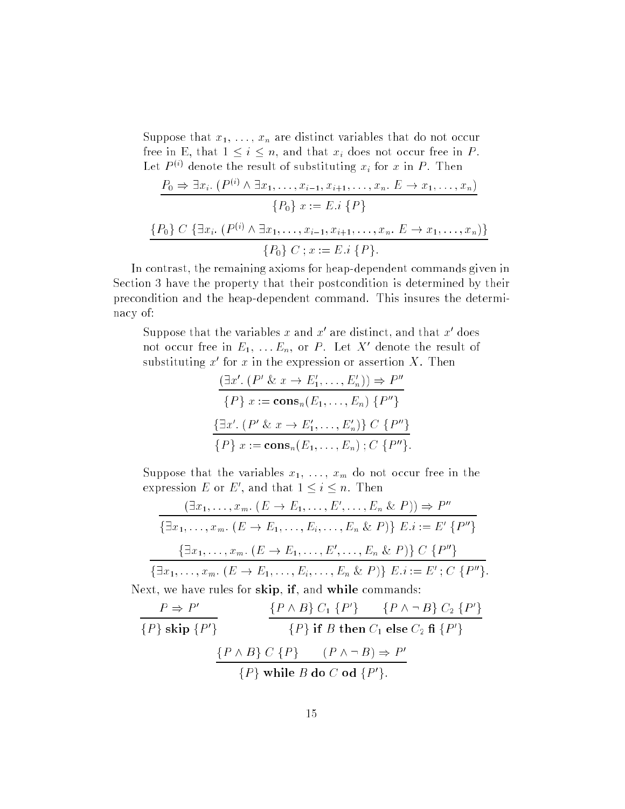Suppose that  $x_1, \ldots, x_n$  are distinct variables that do not occur free in E, that  $1 \leq i \leq n$ , and that  $x_i$  does not occur free in P. Let  $P \vee$  denote the result of substituting  $x_i$  for x in  $P$ . Then

$$
\frac{P_0 \Rightarrow \exists x_i. (P^{(i)} \land \exists x_1, \dots, x_{i-1}, x_{i+1}, \dots, x_n. E \to x_1, \dots, x_n)}{P_0} \times \{P_0\} \ x := E.i \ \{P\}
$$
\n
$$
\{\frac{P_0}{\{P_0\} C} \{\exists x_i. (P^{(i)} \land \exists x_1, \dots, x_{i-1}, x_{i+1}, \dots, x_n. E \to x_1, \dots, x_n)\}}{P_0\} C \ ; x := E.i \ \{P\}.
$$

In contrast, the remaining axioms for heap-dependent commands given in Section 3 have the property that their postcondition is determined by their precondition and the heap-dependent command. This insures the determinacy of:

Suppose that the variables x and x are distinct, and that x does not occur free in  $E_1, \ldots E_n$ , or P . Let  $A$  denote the result of substituting  $x$  for  $x$  in the expression or assertion  $\Lambda$ . Then

$$
\frac{(\exists x'. (P' \& x \rightarrow E'_1, \dots, E'_n)) \Rightarrow P''}{\{P\} \; x := \mathbf{cons}_n(E_1, \dots, E_n) \; \{P''\}}
$$

$$
\frac{\{\exists x'. (P' \& x \rightarrow E'_1, \dots, E'_n)\} \; C \; \{P''\}}{\{P\} \; x := \mathbf{cons}_n(E_1, \dots, E_n) \; ; C \; \{P''\}}.
$$

Suppose that the variables  $x_1, \ldots, x_m$  do not occur free in the expression  $E$  or  $E$  , and that  $1 \leq i \leq n$ . Then

$$
\frac{(\exists x_1, \ldots, x_m. (E \to E_1, \ldots, E', \ldots, E_n \& P)) \Rightarrow P''}{\{\exists x_1, \ldots, x_m. (E \to E_1, \ldots, E_i, \ldots, E_n \& P)\} E.i := E' \{P''\}}
$$

$$
\frac{\{\exists x_1, \ldots, x_m. (E \to E_1, \ldots, E', \ldots, E_n \& P)\} C \{P''\}}{\{\exists x_1, \ldots, x_m. (E \to E_1, \ldots, E_i, \ldots, E_n \& P)\} E.i := E'; C \{P''\}.
$$
Next, we have rules for skip, if, and while commands:

$$
\frac{P \Rightarrow P'}{\{P\} \text{ skip } \{P'\}}
$$
\n
$$
\frac{\{P \land B\} C_1 \{P'\} \qquad \{P \land \neg B\} C_2 \{P'\}}{\{P\} \text{ if } B \text{ then } C_1 \text{ else } C_2 \text{ if } \{P'\}}\n\n
$$
\frac{\{P \land B\} C \{P\} \qquad (P \land \neg B) \Rightarrow P'}{\{P\} \text{ while } B \text{ do } C \text{ od } \{P'\}}.
$$
$$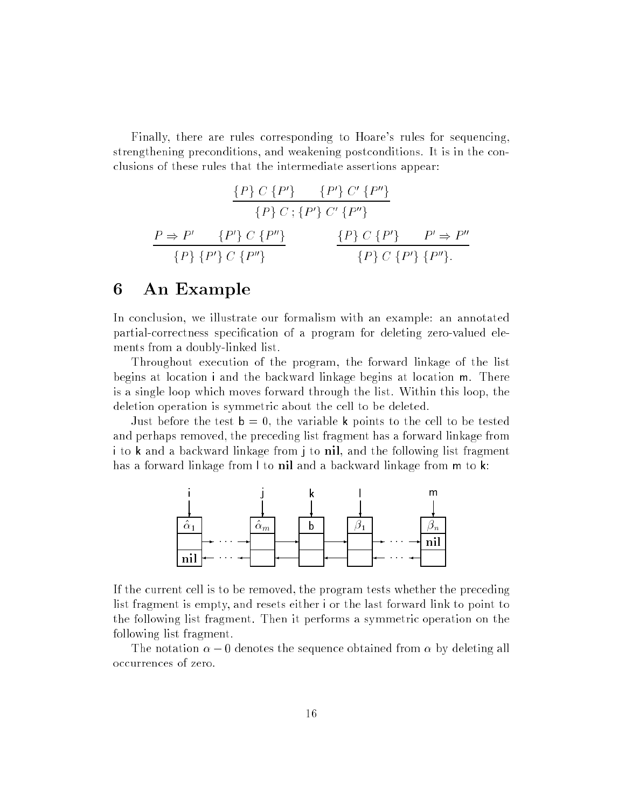Finally, there are rules corresponding to Hoare's rules for sequencing, strengthening preconditions, and weakening postconditions. It is in the conclusions of these rules that the intermediate assertions appear:

$$
\frac{\{P\} \ C \ \{P'\} \quad \{P'\} \ C' \ \{P''\}}{\{P\} \ C \ ; \{P'\} \ C' \ \{P''\}}
$$
\n
$$
\frac{P \Rightarrow P' \quad \{P'\} \ C \ \{P''\}}{\{P\} \ \{P'\} \ C \ \{P''\}} \qquad \frac{\{P\} \ C \ \{P'\} \quad P' \Rightarrow P''}{\{P\} \ C \ \{P''\} \ \{P''\}}.
$$

#### 6 An Example

In conclusion, we illustrate our formalism with an example: an annotated partial-correctness specication of a program for deleting zero-valued elements from a doubly-linked list.

Throughout execution of the program, the forward linkage of the list begins at location <sup>i</sup> and the backward linkage begins at location m. There is a single loop which moves forward through the list. Within this loop, the deletion operation is symmetric about the cell to be deleted.

Just before the test  $b = 0$ , the variable k points to the cell to be tested and perhaps removed, the preceding list fragment has a forward linkage from <sup>i</sup> to <sup>k</sup> and a backward linkage from <sup>j</sup> to nil, and the following list fragment has a forward linkage from l to nil and a backward linkage from m to k:



If the current cell is to be removed, the program tests whether the preceding list fragment is empty, and resets either <sup>i</sup> or the last forward link to point to the following list fragment. Then it performs a symmetric operation on the following list fragment.

The notation  $\alpha - 0$  denotes the sequence obtained from  $\alpha$  by deleting all occurrences of zero.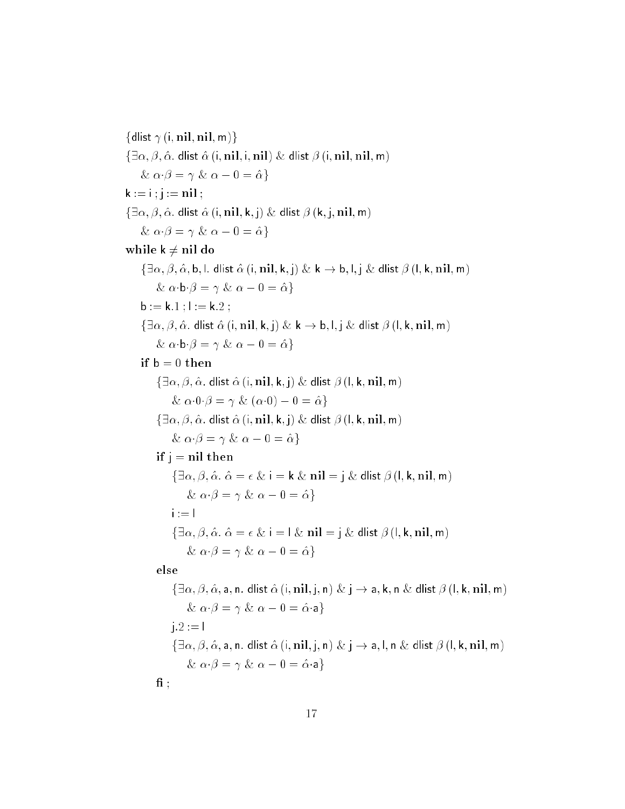{dlist  $\gamma$  (i, nil, nil, m)}  $\{\exists \alpha, \beta, \hat{\alpha}.\}$  dlist  $\hat{\alpha}$  (i, nil, i, nil)  $\&$  dlist  $\beta$  (i, nil, nil, m)  $\& \alpha \cdot \beta = \gamma \& \alpha - 0 = \hat{\alpha}$  $k := i ; j := nil;$  $\{\exists \alpha, \beta, \hat{\alpha}$ . dlist  $\hat{\alpha}$  (i, nil, k, j)  $\&$  dlist  $\beta$  (k, j, nil, m)  $\& \alpha \cdot \beta = \gamma \& \alpha - 0 = \hat{\alpha}$ while  $k \neq n$ il do  $\{\exists \alpha, \beta, \hat{\alpha}, \mathsf{b}, \mathsf{l}.\}$  dlist  $\hat{\alpha}$  (i, nil, k, j)  $\& \mathsf{k} \to \mathsf{b}, \mathsf{l}, \mathsf{j} \& \mathsf{d}$ list  $\beta$  (l, k, nil, m)  $\& \alpha \cdot b \cdot \beta = \gamma \& \alpha - 0 = \hat{\alpha}$ **;**  $**l** := **k**.2$ **;**  $\{\exists \alpha, \beta, \hat{\alpha}.\}$  dlist  $\hat{\alpha}$  (i, nil, k, j)  $\& \mathbf{k} \rightarrow \mathbf{b}, \mathbf{l}, \mathbf{j} \& \mathbf{d}$ list  $\beta$  (l, k, nil, m)  $\& \alpha \cdot b \cdot \beta = \gamma \& \alpha - 0 = \hat{\alpha}$ if  $b = 0$  then  $\{\exists \alpha, \beta, \hat{\alpha}.\}$  dlist  $\hat{\alpha}$  (i, nil, k, j)  $\&$  dlist  $\beta$  (l, k, nil, m)  $\& \alpha \cdot 0 \cdot \beta = \gamma \& (\alpha \cdot 0) - 0 = \hat{\alpha}$  $\{\exists \alpha, \beta, \hat{\alpha} \text{. } \text{dlist } \hat{\alpha} \text{ (i, nil, k, j)} \& \text{dlist } \beta \text{ (l, k, nil, m)}\$  $\& \alpha \cdot \beta = \gamma \& \alpha - 0 = \hat{\alpha}$ if  $j = nil$  then  $\{\exists \alpha, \beta, \hat{\alpha} \ldotp \hat{\alpha} = \epsilon \& \, i = k \& \, \text{nil} = j \& \, \text{dlist } \beta \, (l, k, \text{nil}, \text{m})\}$  $\& \alpha \cdot \beta = \gamma \& \alpha - 0 = \hat{\alpha}$  $i := 1$  $\{\exists \alpha, \beta, \hat{\alpha} \cdot \hat{\alpha} = \epsilon \& i = \ell \& \text{ nil} = j \& \text{ dlist } \beta (l, k, nil, m)$  $\& \alpha \cdot \beta = \gamma \& \alpha - 0 = \hat{\alpha}$ else  $\{\exists \alpha, \beta, \hat{\alpha}, a, n.$  dlist  $\hat{\alpha}$  (i, nil, j, n)  $\& \, j \rightarrow a, k, n \& \,$  dlist  $\beta$  (l, k, nil, m)  $\& \alpha \cdot \beta = \gamma \& \alpha - 0 = \hat{\alpha} \cdot a$  $j.2 := 1$  $\{\exists \alpha, \beta, \hat{\alpha}, \mathsf{a}, \mathsf{n} \dots \mathsf{dlist} \hat{\alpha} \ (i, \mathbf{nil}, j, \mathsf{n}) \ \& \ j \rightarrow \mathsf{a}, \mathsf{l}, \mathsf{n} \ \& \ \mathsf{dlist} \ \beta \ (l, \mathsf{k}, \mathbf{nil}, \mathsf{m})\}$  $\& \alpha \cdot \beta = \gamma \& \alpha - 0 = \hat{\alpha} \cdot a$  $\mathbf{f}$  ;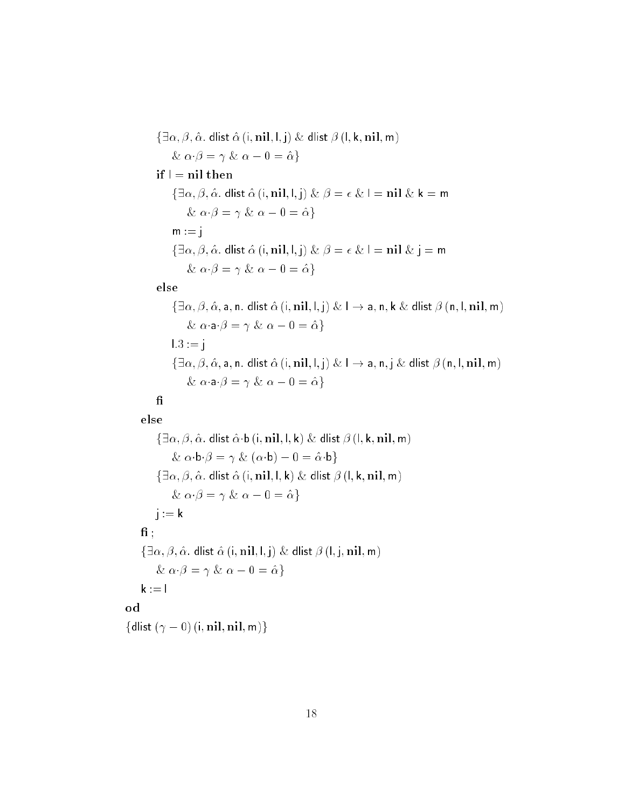$\{\exists \alpha, \beta, \hat{\alpha}.\}$  dlist  $\hat{\alpha}$  (i, nil, l, j)  $\&$  dlist  $\beta$  (l, k, nil, m) &  $\alpha \cdot \beta = \gamma$  &  $\alpha - 0 = \hat{\alpha}$ } if  $\mathsf{I} = \mathsf{nil}$  then  $\{\exists \alpha, \beta, \hat{\alpha} \text{. } \text{dlist } \hat{\alpha} \text{ (i, nil, l, j)} \& \beta = \epsilon \& \mathbf{l} = \text{nil} \& \mathbf{k} = \text{m}$  $\& \alpha \cdot \beta = \gamma \& \alpha - 0 = \hat{\alpha}$  $m := j$  $\{\exists \alpha, \beta, \hat{\alpha}.\}$  dlist  $\hat{\alpha}$  (i, nil, l, j)  $\& \beta = \epsilon \& 1 = \textbf{nil} \& \textbf{j} = \textbf{m}$  $\& \alpha \cdot \beta = \gamma \& \alpha - 0 = \hat{\alpha}$ 

#### else

$$
\{\exists \alpha, \beta, \hat{\alpha}, \mathsf{a}, \mathsf{n}. \text{ dlist } \hat{\alpha} \text{ (i, nil, l, j)} \& l \rightarrow \mathsf{a}, \mathsf{n}, \mathsf{k} \& \text{ dlist } \beta \text{ (n, l, nil, m)} \& \alpha \cdot \mathsf{a} \cdot \beta = \gamma \& \alpha - 0 = \hat{\alpha}\}
$$
\n
$$
1.3 := j
$$
\n
$$
\{\exists \alpha, \beta, \hat{\alpha}, \mathsf{a}, \mathsf{n}. \text{ dlist } \hat{\alpha} \text{ (i, nil, l, j)} \& l \rightarrow \mathsf{a}, \mathsf{n}, \text{j} \& \text{ dlist } \beta \text{ (n, l, nil, m)} \& \alpha \cdot \mathsf{a} \cdot \beta = \gamma \& \alpha - 0 = \hat{\alpha}\}
$$

#### ${\bf f} {\bf i}$ else

od

 $\{\exists \alpha, \beta, \hat{\alpha}.\}$  dlist  $\hat{\alpha} \cdot \mathbf{b}$  (i, nil, l, k) & dlist  $\beta$  (l, k, nil, m) &  $\alpha \cdot \mathbf{b} \cdot \beta = \gamma \& (\alpha \cdot \mathbf{b}) - 0 = \hat{\alpha} \cdot \mathbf{b}$  $\{\exists \alpha, \beta, \hat{\alpha}.\}$  dlist  $\hat{\alpha}$  (i, nil, l, k)  $\&$  dlist  $\beta$  (l, k, nil, m) &  $\alpha \cdot \beta = \gamma$  &  $\alpha - 0 = \hat{\alpha}$ }  $j := k$  $\mathbf{f}$  :  $\{\exists \alpha, \beta, \hat{\alpha}.\}$  dlist  $\hat{\alpha}$  (i, nil, l, j) & dlist  $\beta$  (l, j, nil, m)  $\& \alpha \cdot \beta = \gamma \& \alpha - 0 = \hat{\alpha}$  $k := 1$  $\{$ dlist  $(\gamma - 0)$  (i, nil, nil, m) $\}$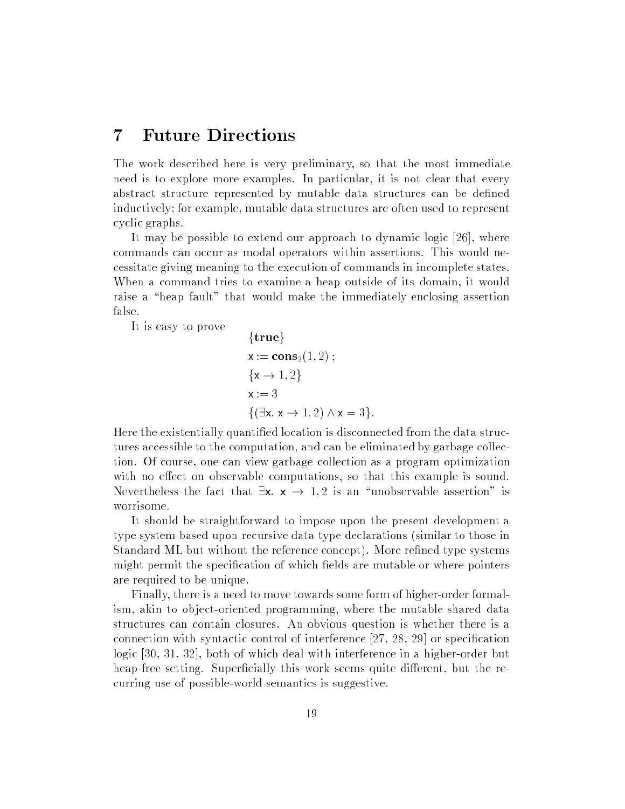#### 7 Future Directions

The work described here is very preliminary, so that the most immediate need is to explore more examples. In particular, it is not clear that every abstract structure represented by mutable data structures can be dened inductively; for example, mutable data structures are often used to represent cyclic graphs.

It may be possible to extend our approach to dynamic logic [26], where commands can occur as modal operators within assertions. This would necessitate giving meaning to the execution of commands in incomplete states. When a command tries to examine a heap outside of its domain, it would raise a "heap fault" that would make the immediately enclosing assertion false.

It is easy to prove

{true}  
\n
$$
x := \text{cons}_2(1, 2) ;
$$
\n
$$
\{x \rightarrow 1, 2\}
$$
\n
$$
x := 3
$$
\n
$$
\{(\exists x. x \rightarrow 1, 2) \land x = 3\}.
$$

Here the existentially quantied location is disconnected from the data structures accessible to the computation, and can be eliminated by garbage collection. Of course, one can view garbage collection as a program optimization with no effect on observable computations, so that this example is sound. Nevertheless the fact that  $\exists x. x \rightarrow 1, 2$  is an "unobservable assertion" is worrisome.

It should be straightforward to impose upon the present development a type system based upon recursive data type declarations (similar to those in Standard ML but without the reference concept). More refined type systems might permit the specification of which fields are mutable or where pointers are required to be unique.

Finally, there is a need to move towards some form of higher-order formalism, akin to object-oriented programming, where the mutable shared data structures can contain closures. An obvious question is whether there is a connection with syntactic control of interference [27, 28, 29] or specication logic [30, 31, 32], both of which deal with interference in a higher-order but heap-free setting. Superficially this work seems quite different, but the recurring use of possible-world semantics is suggestive.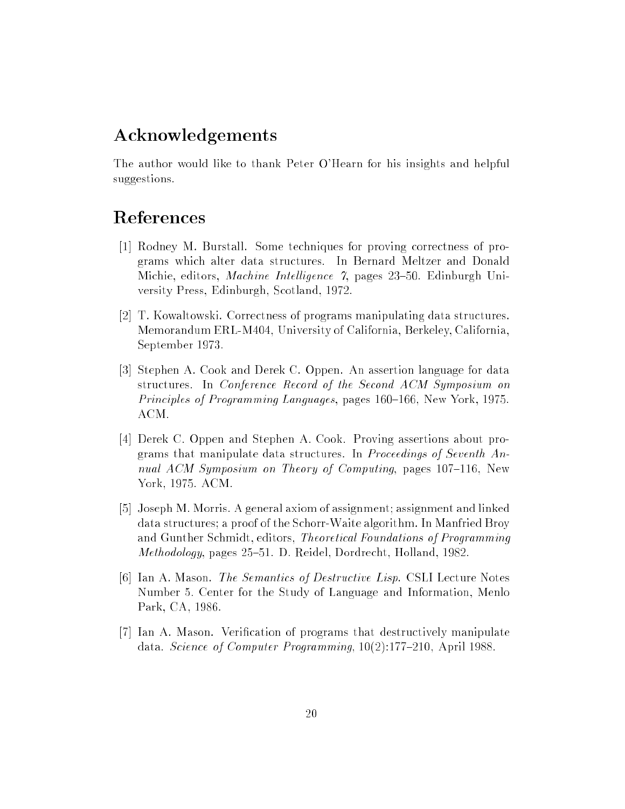### Acknowledgements

The author would like to thank Peter O'Hearn for his insights and helpful suggestions.

## References

- [1] Rodney M. Burstall. Some techniques for proving correctness of programs which alter data structures. In Bernard Meltzer and Donald Michie, editors, Machine Intelligence 7, pages 23-50. Edinburgh University Press, Edinburgh, Scotland, 1972.
- [2] T. Kowaltowski. Correctness of programs manipulating data structures. Memorandum ERL-M404, University of California, Berkeley, California, September 1973.
- [3] Stephen A. Cook and Derek C. Oppen. An assertion language for data structures. In Conference Record of the Second ACM Symposium on Principles of Programming Languages, pages 160–166, New York, 1975. ACM.
- [4] Derek C. Oppen and Stephen A. Cook. Proving assertions about programs that manipulate data structures. In Proceedings of Seventh Annual ACM Symposium on Theory of Computing, pages  $107{-}116$ , New York, 1975. ACM.
- [5] Joseph M. Morris. A general axiom of assignment; assignment and linked data structures; a proof of the Schorr-Waite algorithm. In Manfried Broy and Gunther Schmidt, editors, Theoretical Foundations of Programming Methodology, pages 25–51. D. Reidel, Dordrecht, Holland, 1982.
- [6] Ian A. Mason. The Semantics of Destructive Lisp. CSLI Lecture Notes Number 5. Center for the Study of Language and Information, Menlo Park, CA, 1986.
- [7] Ian A. Mason. Verification of programs that destructively manipulate data. Science of Computer Programming,  $10(2):177-210$ , April 1988.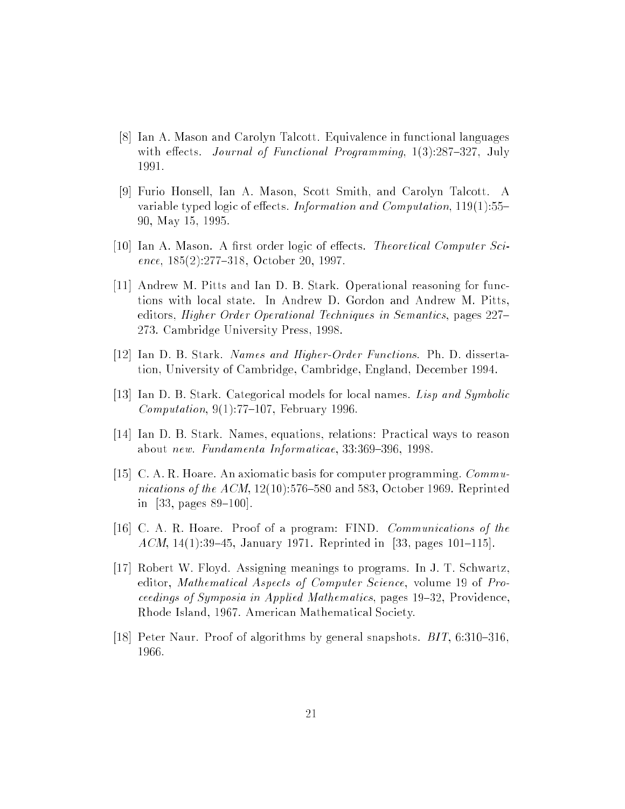- [8] Ian A. Mason and Carolyn Talcott. Equivalence in functional languages with effects. Journal of Functional Programming,  $1(3):287{-}327$ , July 1991.
- [9] Furio Honsell, Ian A. Mason, Scott Smith, and Carolyn Talcott. A variable typed logic of effects. Information and Computation,  $119(1)$ :55-90, May 15, 1995.
- [10] Ian A. Mason. A first order logic of effects. Theoretical Computer Science,  $185(2):277-318$ , October 20, 1997.
- [11] Andrew M. Pitts and Ian D. B. Stark. Operational reasoning for functions with local state. In Andrew D. Gordon and Andrew M. Pitts, editors, Higher Order Operational Techniques in Semantics, pages 227– 273. Cambridge University Press, 1998.
- [12] Ian D. B. Stark. Names and Higher-Order Functions. Ph. D. dissertation, University of Cambridge, Cambridge, England, December 1994.
- [13] Ian D. B. Stark. Categorical models for local names. Lisp and Symbolic Computation,  $9(1)$ :77-107, February 1996.
- [14] Ian D. B. Stark. Names, equations, relations: Practical ways to reason about new. Fundamenta Informaticae, 33:369-396, 1998.
- [15] C. A. R. Hoare. An axiomatic basis for computer programming. Communications of the ACM,  $12(10):576{-}580$  and 583, October 1969. Reprinted in [33, pages  $89-100$ ].
- [16] C. A. R. Hoare. Proof of a program: FIND. Communications of the ACM, 14(1):39-45, January 1971. Reprinted in [33, pages 101-115].
- [17] Robert W. Floyd. Assigning meanings to programs. In J. T. Schwartz, editor, Mathematical Aspects of Computer Science, volume 19 of Proceedings of Symposia in Applied Mathematics, pages  $19-32$ , Providence, Rhode Island, 1967. American Mathematical Society.
- [18] Peter Naur. Proof of algorithms by general snapshots.  $BIT, 6:310–316$ , 1966.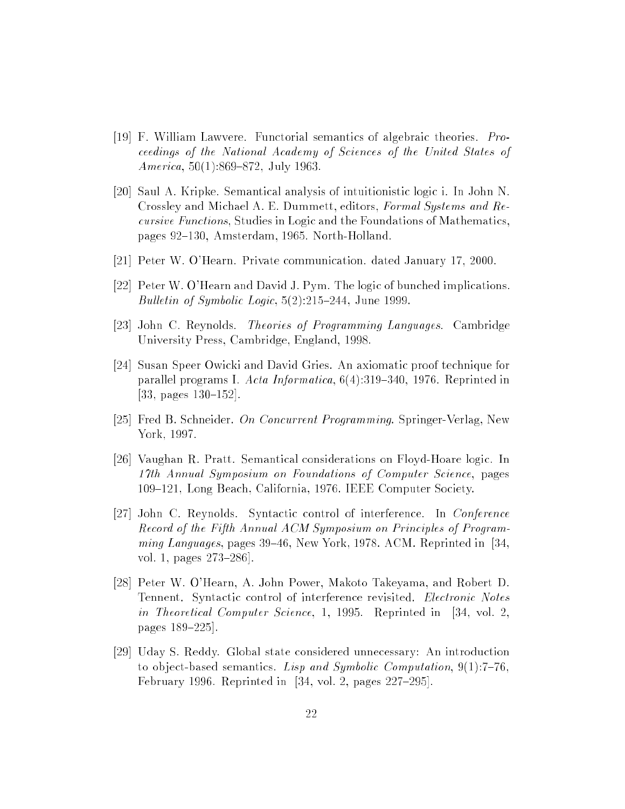- [19] F. William Lawvere. Functorial semantics of algebraic theories. Proceedings of the National Academy of Sciences of the United States of America,  $50(1):869-872$ , July 1963.
- [20] Saul A. Kripke. Semantical analysis of intuitionistic logic i. In John N. Crossley and Michael A. E. Dummett, editors, Formal Systems and Recursive Functions, Studies in Logic and the Foundations of Mathematics, pages 92–130, Amsterdam, 1965. North-Holland.
- [21] Peter W. O'Hearn. Private communication. dated January 17, 2000.
- [22] Peter W. O'Hearn and David J. Pym. The logic of bunched implications. Bulletin of Symbolic Logic,  $5(2):215{-}244$ , June 1999.
- [23] John C. Reynolds. Theories of Programming Languages. Cambridge University Press, Cambridge, England, 1998.
- [24] Susan Speer Owicki and David Gries. An axiomatic proof technique for parallel programs I. Acta Informatica,  $6(4):319-340$ , 1976. Reprinted in [33, pages  $130-152$ ].
- [25] Fred B. Schneider. On Concurrent Programming. Springer-Verlag, New York, 1997.
- [26] Vaughan R. Pratt. Semantical considerations on Floyd-Hoare logic. In 17th Annual Symposium on Foundations of Computer Science, pages 109-121, Long Beach, California, 1976. IEEE Computer Society.
- [27] John C. Reynolds. Syntactic control of interference. In Conference Record of the Fifth Annual ACM Symposium on Principles of Programming Languages, pages  $39-46$ , New York, 1978. ACM. Reprinted in [34, vol. 1, pages  $273-286$ .
- [28] Peter W. O'Hearn, A. John Power, Makoto Takeyama, and Robert D. Tennent. Syntactic control of interference revisited. Electronic Notes in Theoretical Computer Science, 1, 1995. Reprinted in [34, vol. 2, pages 189-225.
- [29] Uday S. Reddy. Global state considered unnecessary: An introduction to object-based semantics. Lisp and Symbolic Computation,  $9(1)$ :7-76, February 1996. Reprinted in  $[34, vol. 2, pages 227-295].$